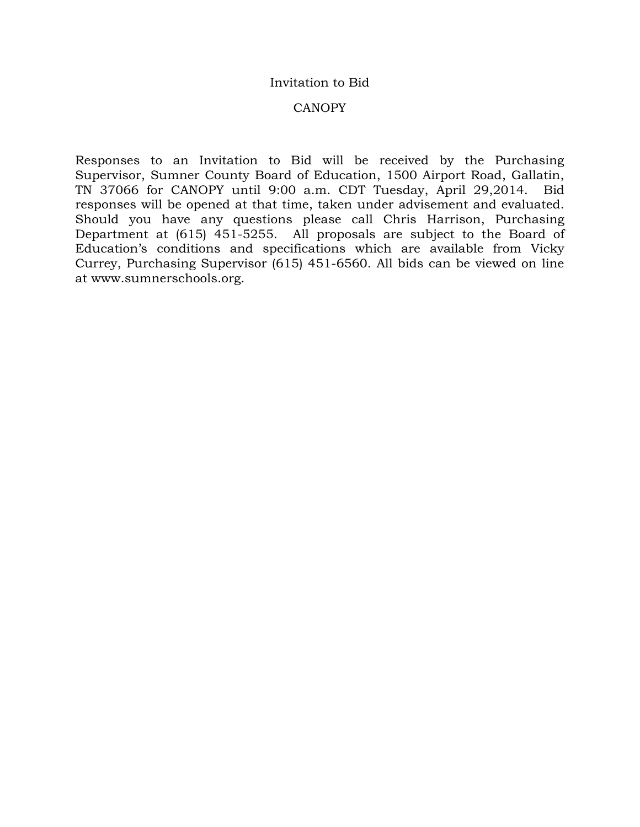#### Invitation to Bid

#### CANOPY

Responses to an Invitation to Bid will be received by the Purchasing Supervisor, Sumner County Board of Education, 1500 Airport Road, Gallatin, TN 37066 for CANOPY until 9:00 a.m. CDT Tuesday, April 29,2014. Bid responses will be opened at that time, taken under advisement and evaluated. Should you have any questions please call Chris Harrison, Purchasing Department at (615) 451-5255. All proposals are subject to the Board of Education's conditions and specifications which are available from Vicky Currey, Purchasing Supervisor (615) 451-6560. All bids can be viewed on line at www.sumnerschools.org.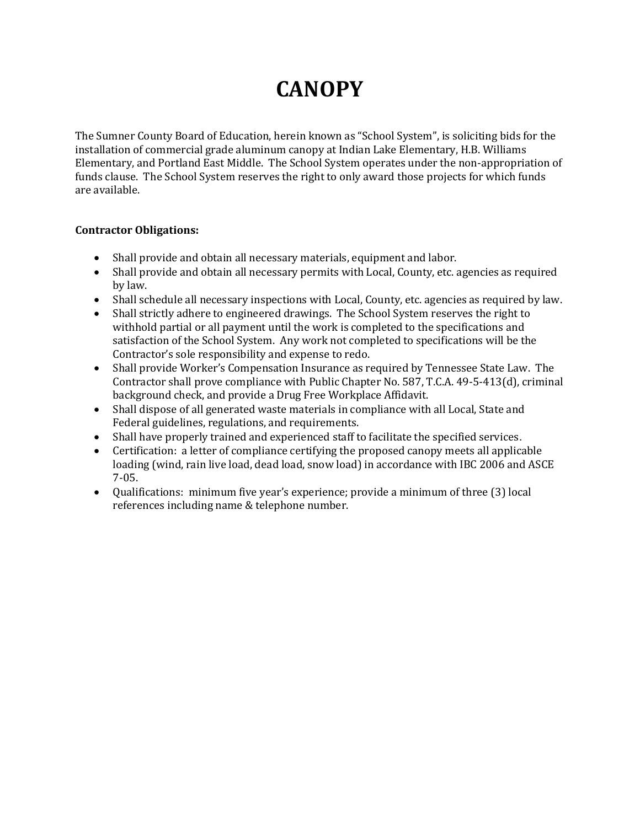# **CANOPY**

The Sumner County Board of Education, herein known as "School System", is soliciting bids for the installation of commercial grade aluminum canopy at Indian Lake Elementary, H.B. Williams Elementary, and Portland East Middle. The School System operates under the non-appropriation of funds clause. The School System reserves the right to only award those projects for which funds are available.

### **Contractor Obligations:**

- Shall provide and obtain all necessary materials, equipment and labor.
- Shall provide and obtain all necessary permits with Local, County, etc. agencies as required by law.
- Shall schedule all necessary inspections with Local, County, etc. agencies as required by law.
- Shall strictly adhere to engineered drawings. The School System reserves the right to withhold partial or all payment until the work is completed to the specifications and satisfaction of the School System. Any work not completed to specifications will be the Contractor's sole responsibility and expense to redo.
- Shall provide Worker's Compensation Insurance as required by Tennessee State Law. The Contractor shall prove compliance with Public Chapter No. 587, T.C.A. 49-5-413(d), criminal background check, and provide a Drug Free Workplace Affidavit.
- Shall dispose of all generated waste materials in compliance with all Local, State and Federal guidelines, regulations, and requirements.
- Shall have properly trained and experienced staff to facilitate the specified services.
- Certification: a letter of compliance certifying the proposed canopy meets all applicable loading (wind, rain live load, dead load, snow load) in accordance with IBC 2006 and ASCE 7-05.
- Qualifications: minimum five year's experience; provide a minimum of three (3) local references including name & telephone number.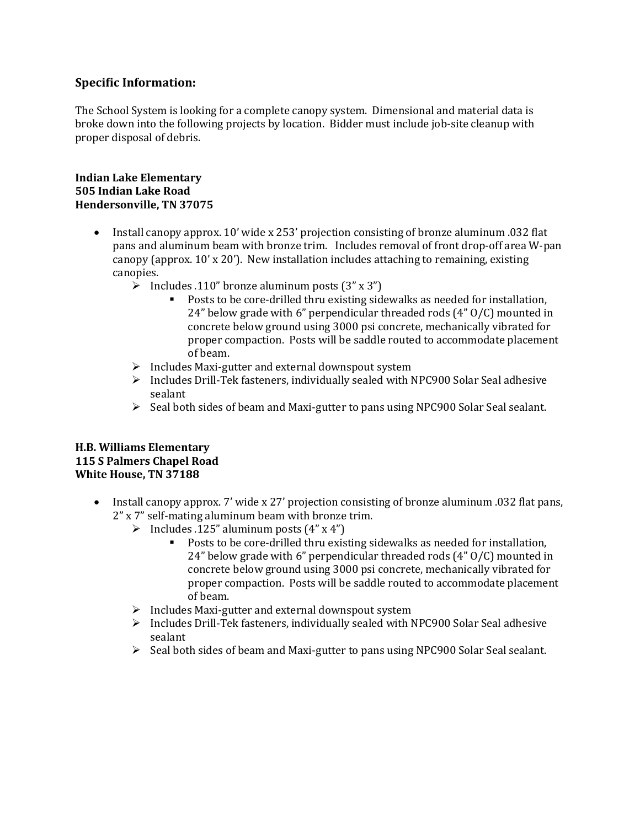### **Specific Information:**

The School System is looking for a complete canopy system. Dimensional and material data is broke down into the following projects by location. Bidder must include job-site cleanup with proper disposal of debris.

#### **Indian Lake Elementary 505 Indian Lake Road Hendersonville, TN 37075**

- Install canopy approx. 10' wide x 253' projection consisting of bronze aluminum .032 flat pans and aluminum beam with bronze trim. Includes removal of front drop-off area W-pan canopy (approx.  $10'$  x  $20'$ ). New installation includes attaching to remaining, existing canopies.
	- $\triangleright$  Includes .110" bronze aluminum posts (3" x 3")
		- Posts to be core-drilled thru existing sidewalks as needed for installation, 24" below grade with 6" perpendicular threaded rods (4" O/C) mounted in concrete below ground using 3000 psi concrete, mechanically vibrated for proper compaction. Posts will be saddle routed to accommodate placement of beam.
	- $\triangleright$  Includes Maxi-gutter and external downspout system
	- $\triangleright$  Includes Drill-Tek fasteners, individually sealed with NPC900 Solar Seal adhesive sealant
	- $\triangleright$  Seal both sides of beam and Maxi-gutter to pans using NPC900 Solar Seal sealant.

#### **H.B. Williams Elementary 115 S Palmers Chapel Road White House, TN 37188**

- Install canopy approx. 7' wide x 27' projection consisting of bronze aluminum .032 flat pans, 2" x 7" self-mating aluminum beam with bronze trim.
	- Includes .125" aluminum posts  $(4" \times 4")$ <br>Posts to be core-drilled thru exis
		- Posts to be core-drilled thru existing sidewalks as needed for installation, 24" below grade with 6" perpendicular threaded rods (4" O/C) mounted in concrete below ground using 3000 psi concrete, mechanically vibrated for proper compaction. Posts will be saddle routed to accommodate placement of beam.
	- $\triangleright$  Includes Maxi-gutter and external downspout system
	- $\triangleright$  Includes Drill-Tek fasteners, individually sealed with NPC900 Solar Seal adhesive sealant
	- $\triangleright$  Seal both sides of beam and Maxi-gutter to pans using NPC900 Solar Seal sealant.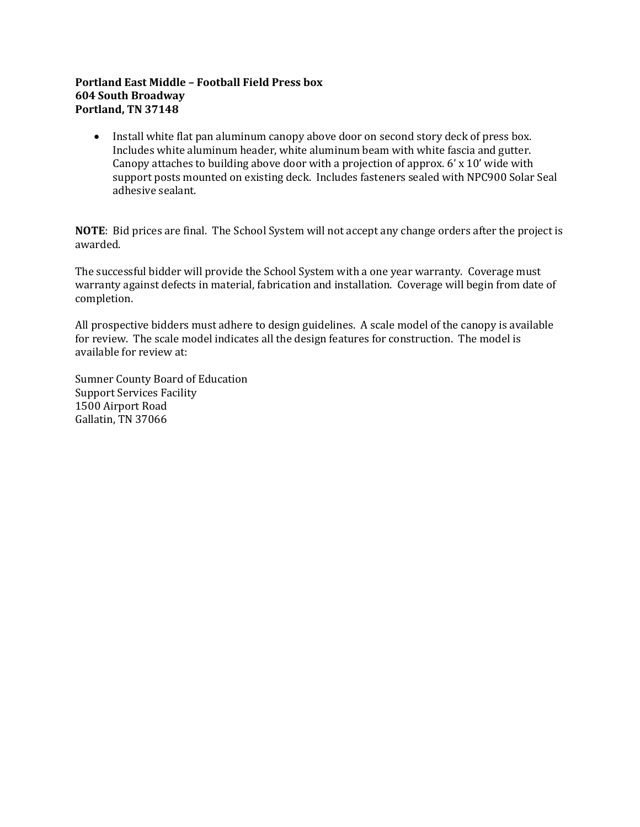#### **Portland East Middle – Football Field Press box 604 South Broadway Portland, TN 37148**

• Install white flat pan aluminum canopy above door on second story deck of press box. Includes white aluminum header, white aluminum beam with white fascia and gutter. Canopy attaches to building above door with a projection of approx. 6' x 10' wide with support posts mounted on existing deck. Includes fasteners sealed with NPC900 Solar Seal adhesive sealant.

**NOTE**: Bid prices are final. The School System will not accept any change orders after the project is awarded.

The successful bidder will provide the School System with a one year warranty. Coverage must warranty against defects in material, fabrication and installation. Coverage will begin from date of completion.

All prospective bidders must adhere to design guidelines. A scale model of the canopy is available for review. The scale model indicates all the design features for construction. The model is available for review at:

Sumner County Board of Education Support Services Facility 1500 Airport Road Gallatin, TN 37066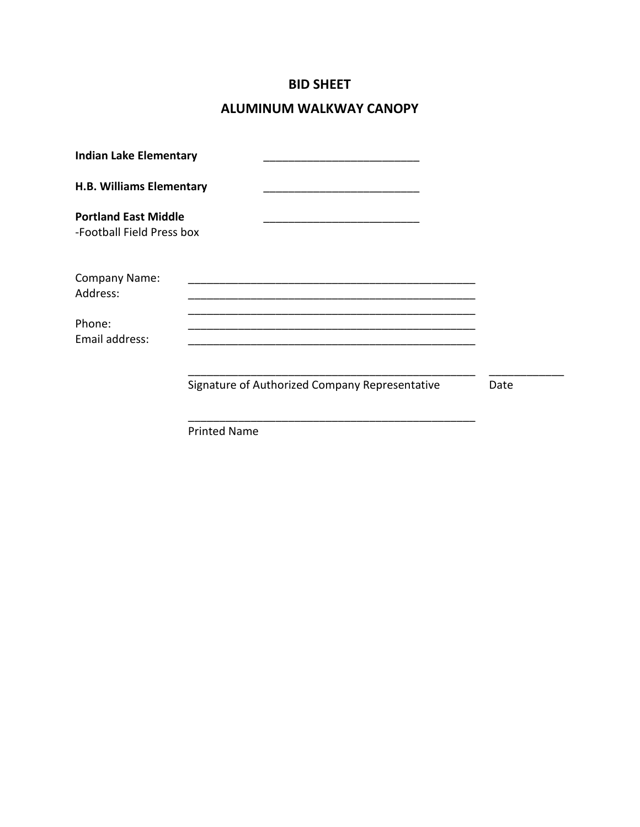# **BID SHEET**

# **ALUMINUM WALKWAY CANOPY**

| <b>Indian Lake Elementary</b>                            |                                                |      |
|----------------------------------------------------------|------------------------------------------------|------|
| <b>H.B. Williams Elementary</b>                          |                                                |      |
| <b>Portland East Middle</b><br>-Football Field Press box |                                                |      |
| Company Name:<br>Address:                                |                                                |      |
| Phone:<br>Email address:                                 |                                                |      |
|                                                          | Signature of Authorized Company Representative | Date |
|                                                          | <b>Printed Name</b>                            |      |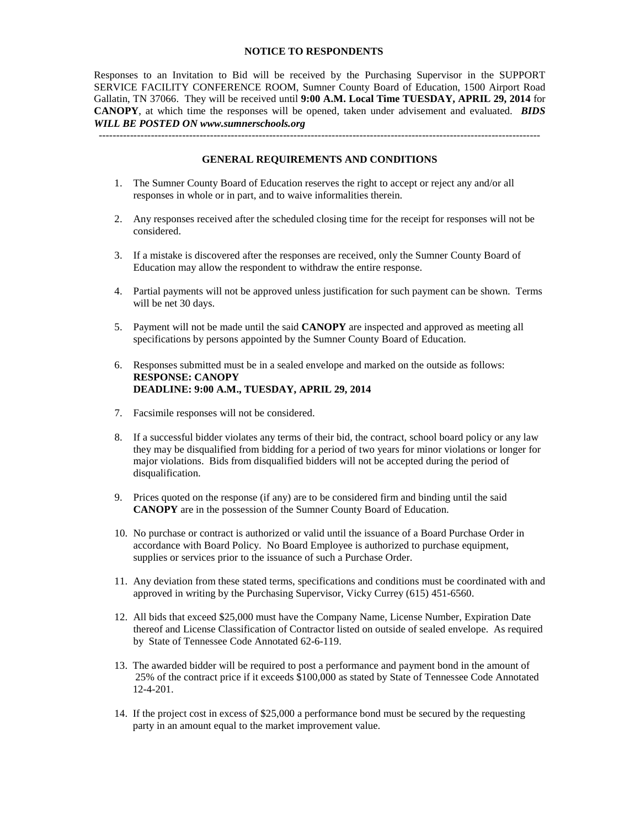#### **NOTICE TO RESPONDENTS**

Responses to an Invitation to Bid will be received by the Purchasing Supervisor in the SUPPORT SERVICE FACILITY CONFERENCE ROOM, Sumner County Board of Education, 1500 Airport Road Gallatin, TN 37066. They will be received until **9:00 A.M. Local Time TUESDAY, APRIL 29, 2014** for **CANOPY**, at which time the responses will be opened, taken under advisement and evaluated. *BIDS WILL BE POSTED ON www.sumnerschools.org*

**GENERAL REQUIREMENTS AND CONDITIONS**

-------------------------------------------------------------------------------------------------------------------------------

- 1. The Sumner County Board of Education reserves the right to accept or reject any and/or all responses in whole or in part, and to waive informalities therein.
- 2. Any responses received after the scheduled closing time for the receipt for responses will not be considered.
- 3. If a mistake is discovered after the responses are received, only the Sumner County Board of Education may allow the respondent to withdraw the entire response.
- 4. Partial payments will not be approved unless justification for such payment can be shown. Terms will be net 30 days.
- 5. Payment will not be made until the said **CANOPY** are inspected and approved as meeting all specifications by persons appointed by the Sumner County Board of Education.
- 6. Responses submitted must be in a sealed envelope and marked on the outside as follows: **RESPONSE: CANOPY DEADLINE: 9:00 A.M., TUESDAY, APRIL 29, 2014**
- 7. Facsimile responses will not be considered.
- 8. If a successful bidder violates any terms of their bid, the contract, school board policy or any law they may be disqualified from bidding for a period of two years for minor violations or longer for major violations. Bids from disqualified bidders will not be accepted during the period of disqualification.
- 9. Prices quoted on the response (if any) are to be considered firm and binding until the said **CANOPY** are in the possession of the Sumner County Board of Education.
- 10. No purchase or contract is authorized or valid until the issuance of a Board Purchase Order in accordance with Board Policy. No Board Employee is authorized to purchase equipment, supplies or services prior to the issuance of such a Purchase Order.
- 11. Any deviation from these stated terms, specifications and conditions must be coordinated with and approved in writing by the Purchasing Supervisor, Vicky Currey (615) 451-6560.
- 12. All bids that exceed \$25,000 must have the Company Name, License Number, Expiration Date thereof and License Classification of Contractor listed on outside of sealed envelope. As required by State of Tennessee Code Annotated 62-6-119.
- 13. The awarded bidder will be required to post a performance and payment bond in the amount of 25% of the contract price if it exceeds \$100,000 as stated by State of Tennessee Code Annotated 12-4-201.
- 14. If the project cost in excess of \$25,000 a performance bond must be secured by the requesting party in an amount equal to the market improvement value.